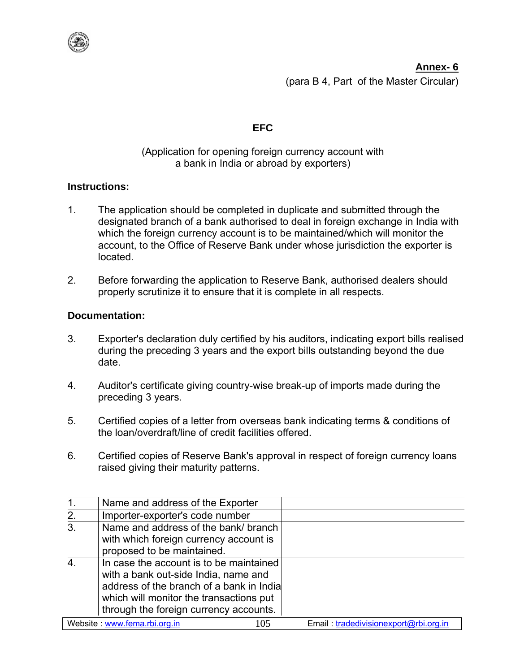

**Annex- 6** (para B 4, Part of the Master Circular)

## **EFC**

## (Application for opening foreign currency account with a bank in India or abroad by exporters)

## **Instructions:**

- 1. The application should be completed in duplicate and submitted through the designated branch of a bank authorised to deal in foreign exchange in India with which the foreign currency account is to be maintained/which will monitor the account, to the Office of Reserve Bank under whose jurisdiction the exporter is located.
- 2. Before forwarding the application to Reserve Bank, authorised dealers should properly scrutinize it to ensure that it is complete in all respects.

## **Documentation:**

- 3. Exporter's declaration duly certified by his auditors, indicating export bills realised during the preceding 3 years and the export bills outstanding beyond the due date.
- 4. Auditor's certificate giving country-wise break-up of imports made during the preceding 3 years.
- 5. Certified copies of a letter from overseas bank indicating terms & conditions of the loan/overdraft/line of credit facilities offered.
- 6. Certified copies of Reserve Bank's approval in respect of foreign currency loans raised giving their maturity patterns.

| 1 <sub>1</sub>   | Name and address of the Exporter                                                                                                                                                                                 |               |
|------------------|------------------------------------------------------------------------------------------------------------------------------------------------------------------------------------------------------------------|---------------|
| 2.               | Importer-exporter's code number                                                                                                                                                                                  |               |
| 3.               | Name and address of the bank/ branch<br>with which foreign currency account is<br>proposed to be maintained.                                                                                                     |               |
| $\overline{4}$ . | In case the account is to be maintained<br>with a bank out-side India, name and<br>address of the branch of a bank in India<br>which will monitor the transactions put<br>through the foreign currency accounts. |               |
|                  | 10F<br>$\mathbf{v}$                                                                                                                                                                                              | _____________ |

Website : www.fema.rbi.org.in  $105$  Email : tradedivisionexport@rbi.org.in 105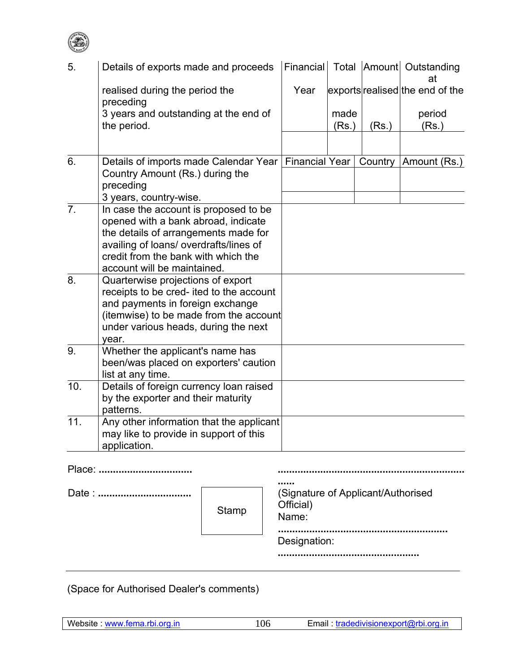| 5.             | Details of exports made and proceeds                                                                                                                                                                                                 |  |  | Financial                                                |               |         | Total   Amount  Outstanding<br>at |
|----------------|--------------------------------------------------------------------------------------------------------------------------------------------------------------------------------------------------------------------------------------|--|--|----------------------------------------------------------|---------------|---------|-----------------------------------|
|                | realised during the period the<br>preceding                                                                                                                                                                                          |  |  | Year                                                     |               |         | exports realised the end of the   |
|                | 3 years and outstanding at the end of<br>the period.                                                                                                                                                                                 |  |  |                                                          | made<br>(Rs.) | (Rs.)   | period<br>(Rs.)                   |
|                |                                                                                                                                                                                                                                      |  |  |                                                          |               |         |                                   |
| 6.             | Details of imports made Calendar Year<br>Country Amount (Rs.) during the<br>preceding<br>3 years, country-wise.                                                                                                                      |  |  | <b>Financial Year</b>                                    |               | Country | Amount (Rs.)                      |
| 7 <sub>1</sub> | In case the account is proposed to be<br>opened with a bank abroad, indicate<br>the details of arrangements made for<br>availing of loans/ overdrafts/lines of<br>credit from the bank with which the<br>account will be maintained. |  |  |                                                          |               |         |                                   |
| 8.             | Quarterwise projections of export<br>receipts to be cred- ited to the account<br>and payments in foreign exchange<br>(itemwise) to be made from the account<br>under various heads, during the next<br>year.                         |  |  |                                                          |               |         |                                   |
| 9.             | Whether the applicant's name has<br>been/was placed on exporters' caution<br>list at any time.                                                                                                                                       |  |  |                                                          |               |         |                                   |
| 10.            | Details of foreign currency loan raised<br>by the exporter and their maturity<br>patterns.                                                                                                                                           |  |  |                                                          |               |         |                                   |
| 11.            | Any other information that the applicant<br>may like to provide in support of this<br>application.                                                                                                                                   |  |  |                                                          |               |         |                                   |
|                | Place:                                                                                                                                                                                                                               |  |  |                                                          |               |         |                                   |
| Date:<br>Stamp |                                                                                                                                                                                                                                      |  |  | (Signature of Applicant/Authorised<br>Official)<br>Name: |               |         |                                   |

 Designation: **..................................................**

(Space for Authorised Dealer's comments)

**............................................................**